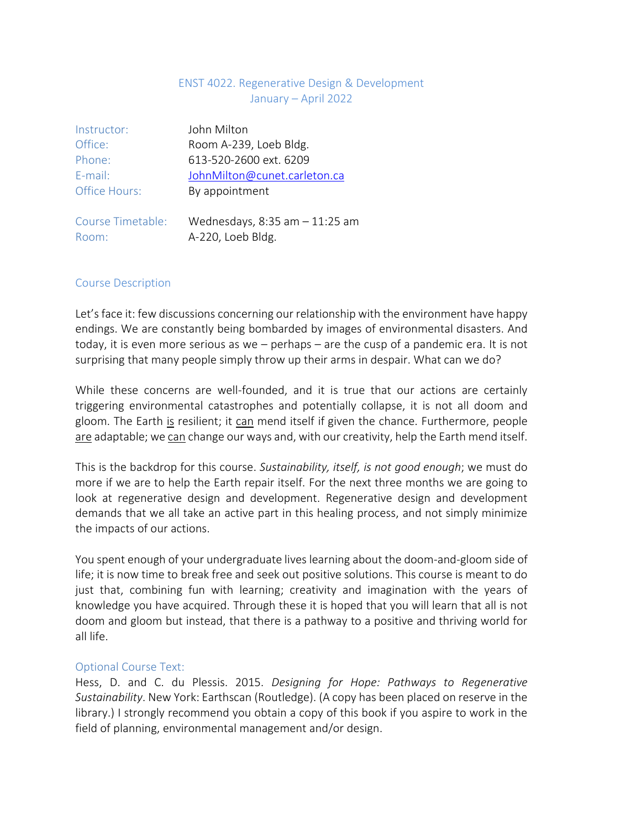# ENST 4022. Regenerative Design & Development January – April 2022

| Instructor:                | John Milton                                            |  |  |
|----------------------------|--------------------------------------------------------|--|--|
| Office:                    | Room A-239, Loeb Bldg.                                 |  |  |
| Phone:                     | 613-520-2600 ext. 6209                                 |  |  |
| E-mail:                    | JohnMilton@cunet.carleton.ca                           |  |  |
| <b>Office Hours:</b>       | By appointment                                         |  |  |
| Course Timetable:<br>Room: | Wednesdays, $8:35$ am $-11:25$ am<br>A-220, Loeb Bldg. |  |  |

# Course Description

Let's face it: few discussions concerning our relationship with the environment have happy endings. We are constantly being bombarded by images of environmental disasters. And today, it is even more serious as we – perhaps – are the cusp of a pandemic era. It is not surprising that many people simply throw up their arms in despair. What can we do?

While these concerns are well-founded, and it is true that our actions are certainly triggering environmental catastrophes and potentially collapse, it is not all doom and gloom. The Earth is resilient; it can mend itself if given the chance. Furthermore, people are adaptable; we can change our ways and, with our creativity, help the Earth mend itself.

This is the backdrop for this course. *Sustainability, itself, is not good enough*; we must do more if we are to help the Earth repair itself. For the next three months we are going to look at regenerative design and development. Regenerative design and development demands that we all take an active part in this healing process, and not simply minimize the impacts of our actions.

You spent enough of your undergraduate lives learning about the doom-and-gloom side of life; it is now time to break free and seek out positive solutions. This course is meant to do just that, combining fun with learning; creativity and imagination with the years of knowledge you have acquired. Through these it is hoped that you will learn that all is not doom and gloom but instead, that there is a pathway to a positive and thriving world for all life.

# Optional Course Text:

Hess, D. and C. du Plessis. 2015. *Designing for Hope: Pathways to Regenerative Sustainability*. New York: Earthscan (Routledge). (A copy has been placed on reserve in the library.) I strongly recommend you obtain a copy of this book if you aspire to work in the field of planning, environmental management and/or design.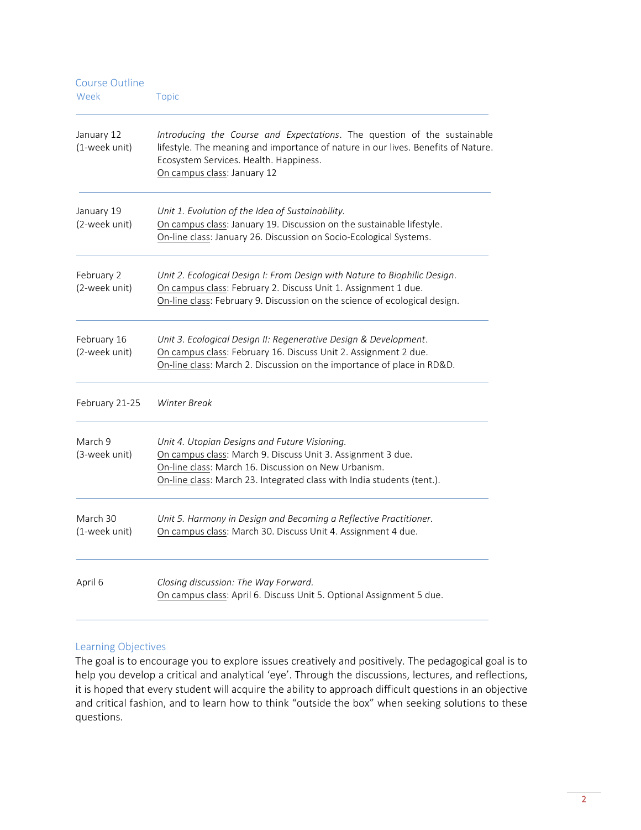| <b>Course Outline</b><br>Week | <b>Topic</b>                                                                                                                                                                                                                                   |  |
|-------------------------------|------------------------------------------------------------------------------------------------------------------------------------------------------------------------------------------------------------------------------------------------|--|
| January 12<br>(1-week unit)   | Introducing the Course and Expectations. The question of the sustainable<br>lifestyle. The meaning and importance of nature in our lives. Benefits of Nature.<br>Ecosystem Services. Health. Happiness.<br>On campus class: January 12         |  |
| January 19<br>(2-week unit)   | Unit 1. Evolution of the Idea of Sustainability.<br>On campus class: January 19. Discussion on the sustainable lifestyle.<br>On-line class: January 26. Discussion on Socio-Ecological Systems.                                                |  |
| February 2<br>(2-week unit)   | Unit 2. Ecological Design I: From Design with Nature to Biophilic Design.<br>On campus class: February 2. Discuss Unit 1. Assignment 1 due.<br>On-line class: February 9. Discussion on the science of ecological design.                      |  |
| February 16<br>(2-week unit)  | Unit 3. Ecological Design II: Regenerative Design & Development.<br>On campus class: February 16. Discuss Unit 2. Assignment 2 due.<br>On-line class: March 2. Discussion on the importance of place in RD&D.                                  |  |
| February 21-25                | Winter Break                                                                                                                                                                                                                                   |  |
| March 9<br>(3-week unit)      | Unit 4. Utopian Designs and Future Visioning.<br>On campus class: March 9. Discuss Unit 3. Assignment 3 due.<br>On-line class: March 16. Discussion on New Urbanism.<br>On-line class: March 23. Integrated class with India students (tent.). |  |
| March 30<br>(1-week unit)     | Unit 5. Harmony in Design and Becoming a Reflective Practitioner.<br>On campus class: March 30. Discuss Unit 4. Assignment 4 due.                                                                                                              |  |
| April 6                       | Closing discussion: The Way Forward.<br>On campus class: April 6. Discuss Unit 5. Optional Assignment 5 due.                                                                                                                                   |  |

# Learning Objectives

The goal is to encourage you to explore issues creatively and positively. The pedagogical goal is to help you develop a critical and analytical 'eye'. Through the discussions, lectures, and reflections, it is hoped that every student will acquire the ability to approach difficult questions in an objective and critical fashion, and to learn how to think "outside the box" when seeking solutions to these questions.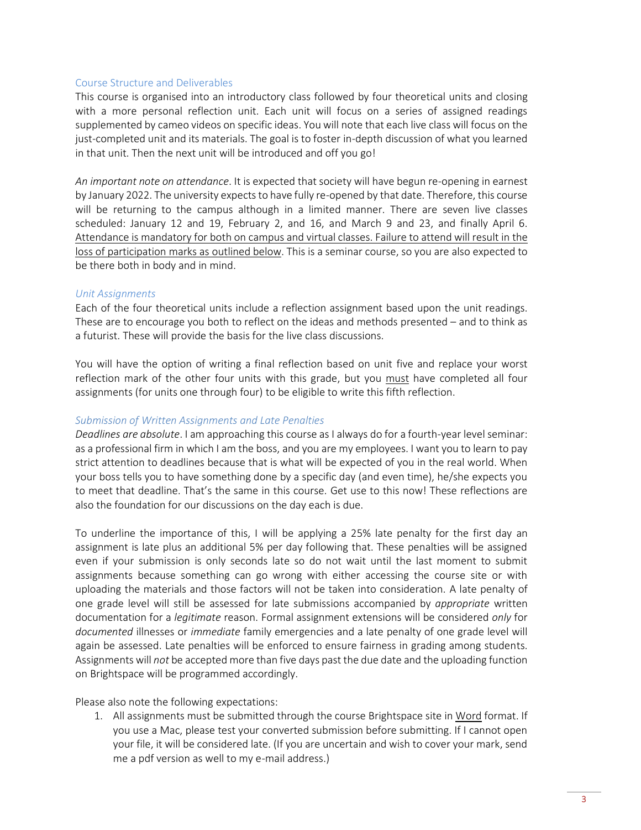#### Course Structure and Deliverables

This course is organised into an introductory class followed by four theoretical units and closing with a more personal reflection unit. Each unit will focus on a series of assigned readings supplemented by cameo videos on specific ideas. You will note that each live class will focus on the just-completed unit and its materials. The goal is to foster in-depth discussion of what you learned in that unit. Then the next unit will be introduced and off you go!

*An important note on attendance*. It is expected that society will have begun re-opening in earnest by January 2022. The university expects to have fully re-opened by that date. Therefore, this course will be returning to the campus although in a limited manner. There are seven live classes scheduled: January 12 and 19, February 2, and 16, and March 9 and 23, and finally April 6. Attendance is mandatory for both on campus and virtual classes. Failure to attend will result in the loss of participation marks as outlined below. This is a seminar course, so you are also expected to be there both in body and in mind.

# *Unit Assignments*

Each of the four theoretical units include a reflection assignment based upon the unit readings. These are to encourage you both to reflect on the ideas and methods presented – and to think as a futurist. These will provide the basis for the live class discussions.

You will have the option of writing a final reflection based on unit five and replace your worst reflection mark of the other four units with this grade, but you must have completed all four assignments (for units one through four) to be eligible to write this fifth reflection.

## *Submission of Written Assignments and Late Penalties*

*Deadlines are absolute*. I am approaching this course as I always do for a fourth-year level seminar: as a professional firm in which I am the boss, and you are my employees. I want you to learn to pay strict attention to deadlines because that is what will be expected of you in the real world. When your boss tells you to have something done by a specific day (and even time), he/she expects you to meet that deadline. That's the same in this course. Get use to this now! These reflections are also the foundation for our discussions on the day each is due.

To underline the importance of this, I will be applying a 25% late penalty for the first day an assignment is late plus an additional 5% per day following that. These penalties will be assigned even if your submission is only seconds late so do not wait until the last moment to submit assignments because something can go wrong with either accessing the course site or with uploading the materials and those factors will not be taken into consideration. A late penalty of one grade level will still be assessed for late submissions accompanied by *appropriate* written documentation for a *legitimate* reason. Formal assignment extensions will be considered *only* for *documented* illnesses or *immediate* family emergencies and a late penalty of one grade level will again be assessed. Late penalties will be enforced to ensure fairness in grading among students. Assignments will *not* be accepted more than five days past the due date and the uploading function on Brightspace will be programmed accordingly.

Please also note the following expectations:

1. All assignments must be submitted through the course Brightspace site in Word format. If you use a Mac, please test your converted submission before submitting. If I cannot open your file, it will be considered late. (If you are uncertain and wish to cover your mark, send me a pdf version as well to my e-mail address.)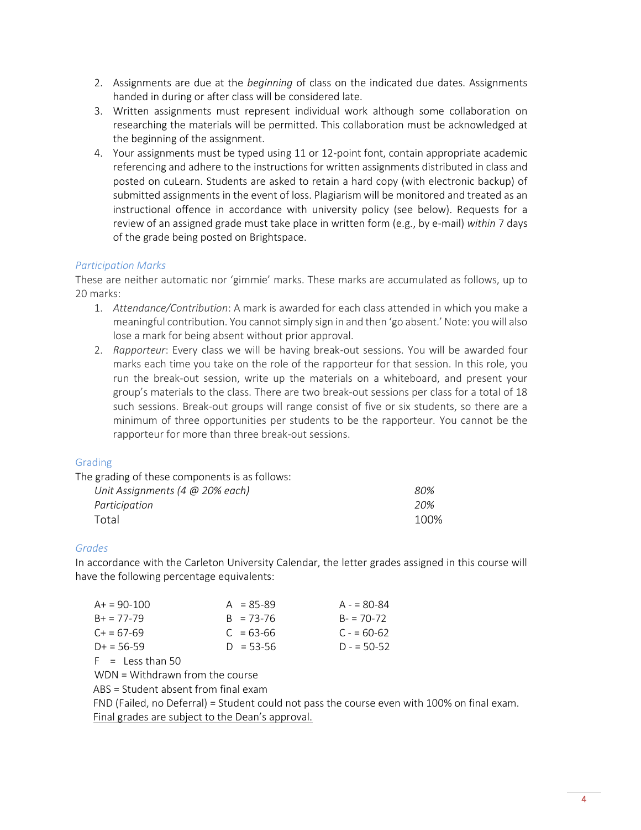- 2. Assignments are due at the *beginning* of class on the indicated due dates. Assignments handed in during or after class will be considered late.
- 3. Written assignments must represent individual work although some collaboration on researching the materials will be permitted. This collaboration must be acknowledged at the beginning of the assignment.
- 4. Your assignments must be typed using 11 or 12-point font, contain appropriate academic referencing and adhere to the instructions for written assignments distributed in class and posted on cuLearn. Students are asked to retain a hard copy (with electronic backup) of submitted assignments in the event of loss. Plagiarism will be monitored and treated as an instructional offence in accordance with university policy (see below). Requests for a review of an assigned grade must take place in written form (e.g., by e-mail) *within* 7 days of the grade being posted on Brightspace.

# *Participation Marks*

These are neither automatic nor 'gimmie' marks. These marks are accumulated as follows, up to 20 marks:

- 1. *Attendance/Contribution*: A mark is awarded for each class attended in which you make a meaningful contribution. You cannot simply sign in and then 'go absent.' Note: you will also lose a mark for being absent without prior approval.
- 2. *Rapporteur*: Every class we will be having break-out sessions. You will be awarded four marks each time you take on the role of the rapporteur for that session. In this role, you run the break-out session, write up the materials on a whiteboard, and present your group's materials to the class. There are two break-out sessions per class for a total of 18 such sessions. Break-out groups will range consist of five or six students, so there are a minimum of three opportunities per students to be the rapporteur. You cannot be the rapporteur for more than three break-out sessions.

# Grading

| The grading of these components is as follows: |      |
|------------------------------------------------|------|
| Unit Assignments (4 $@$ 20% each)              | 80%  |
| Participation                                  | 20%  |
| Total                                          | 100% |

# *Grades*

In accordance with the Carleton University Calendar, the letter grades assigned in this course will have the following percentage equivalents:

| $A+ = 90-100$     | $A = 85 - 89$ | $A - 80-84$ |
|-------------------|---------------|-------------|
| $B_+ = 77 - 79$   | $B = 73 - 76$ | $B = 70-72$ |
| $C_{+} = 67 - 69$ | $C = 63-66$   | $C = 60-62$ |
| $D+ = 56-59$      | $D = 53 - 56$ | $D = 50-52$ |
|                   |               |             |

 $F =$  Less than 50

WDN = Withdrawn from the course

ABS = Student absent from final exam

FND (Failed, no Deferral) = Student could not pass the course even with 100% on final exam. Final grades are subject to the Dean's approval.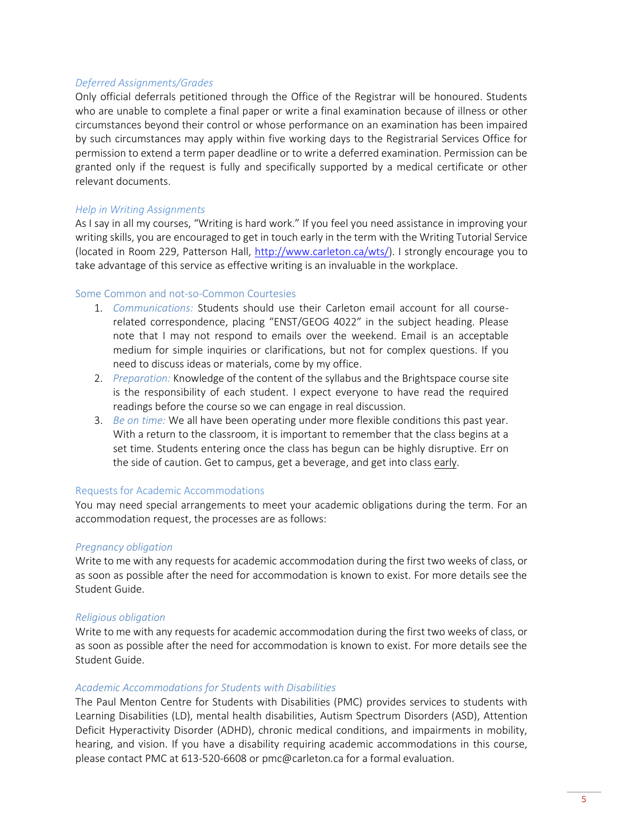## *Deferred Assignments/Grades*

Only official deferrals petitioned through the Office of the Registrar will be honoured. Students who are unable to complete a final paper or write a final examination because of illness or other circumstances beyond their control or whose performance on an examination has been impaired by such circumstances may apply within five working days to the Registrarial Services Office for permission to extend a term paper deadline or to write a deferred examination. Permission can be granted only if the request is fully and specifically supported by a medical certificate or other relevant documents.

#### *Help in Writing Assignments*

As I say in all my courses, "Writing is hard work." If you feel you need assistance in improving your writing skills, you are encouraged to get in touch early in the term with the Writing Tutorial Service (located in Room 229, Patterson Hall, [http://www.carleton.ca/wts/\)](http://www.carleton.ca/wts/). I strongly encourage you to take advantage of this service as effective writing is an invaluable in the workplace.

### Some Common and not-so-Common Courtesies

- 1. *Communications:* Students should use their Carleton email account for all courserelated correspondence, placing "ENST/GEOG 4022" in the subject heading. Please note that I may not respond to emails over the weekend. Email is an acceptable medium for simple inquiries or clarifications, but not for complex questions. If you need to discuss ideas or materials, come by my office.
- 2. *Preparation:* Knowledge of the content of the syllabus and the Brightspace course site is the responsibility of each student. I expect everyone to have read the required readings before the course so we can engage in real discussion.
- 3. *Be on time:* We all have been operating under more flexible conditions this past year. With a return to the classroom, it is important to remember that the class begins at a set time. Students entering once the class has begun can be highly disruptive. Err on the side of caution. Get to campus, get a beverage, and get into class early.

#### Requests for Academic Accommodations

You may need special arrangements to meet your academic obligations during the term. For an accommodation request, the processes are as follows:

# *Pregnancy obligation*

Write to me with any requests for academic accommodation during the first two weeks of class, or as soon as possible after the need for accommodation is known to exist. For more details see the Student Guide.

# *Religious obligation*

Write to me with any requests for academic accommodation during the first two weeks of class, or as soon as possible after the need for accommodation is known to exist. For more details see the Student Guide.

#### *Academic Accommodations for Students with Disabilities*

The Paul Menton Centre for Students with Disabilities (PMC) provides services to students with Learning Disabilities (LD), mental health disabilities, Autism Spectrum Disorders (ASD), Attention Deficit Hyperactivity Disorder (ADHD), chronic medical conditions, and impairments in mobility, hearing, and vision. If you have a disability requiring academic accommodations in this course, please contact PMC at 613-520-6608 or pmc@carleton.ca for a formal evaluation.